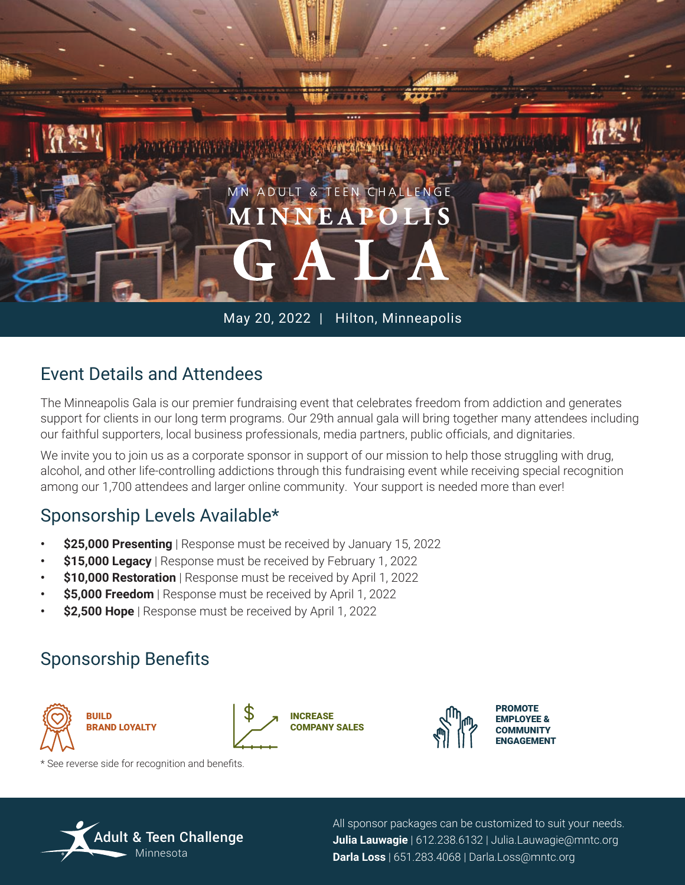

#### May 20, 2022 | Hilton, Minneapolis

### Event Details and Attendees

The Minneapolis Gala is our premier fundraising event that celebrates freedom from addiction and generates support for clients in our long term programs. Our 29th annual gala will bring together many attendees including our faithful supporters, local business professionals, media partners, public officials, and dignitaries.

We invite you to join us as a corporate sponsor in support of our mission to help those struggling with drug, alcohol, and other life-controlling addictions through this fundraising event while receiving special recognition among our 1,700 attendees and larger online community. Your support is needed more than ever!

#### Sponsorship Levels Available\*

- **\$25,000 Presenting** | Response must be received by January 15, 2022
- **\$15,000 Legacy** | Response must be received by February 1, 2022
- **\$10,000 Restoration** | Response must be received by April 1, 2022
- **\$5,000 Freedom** | Response must be received by April 1, 2022
- **\$2,500 Hope** | Response must be received by April 1, 2022

## Sponsorship Benefits



INCREASE COMPANY SALES



\* See reverse side for recognition and benefits.



All sponsor packages can be customized to suit your needs. **Julia Lauwagie** | 612.238.6132 | Julia.Lauwagie@mntc.org **Darla Loss** | 651.283.4068 | Darla.Loss@mntc.org